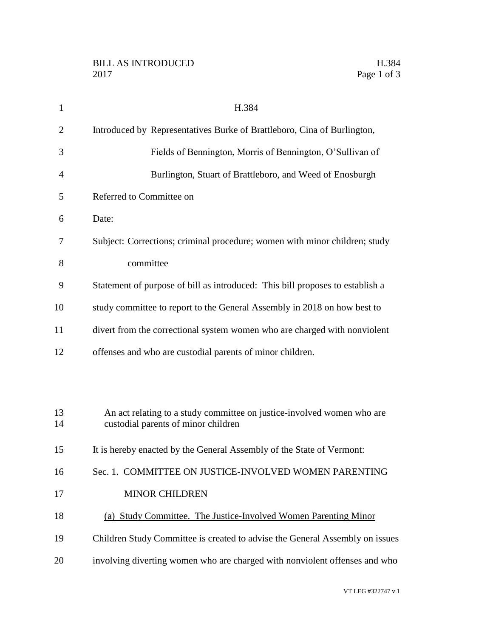| $\mathbf{1}$   | H.384                                                                                                         |
|----------------|---------------------------------------------------------------------------------------------------------------|
| $\overline{2}$ | Introduced by Representatives Burke of Brattleboro, Cina of Burlington,                                       |
| 3              | Fields of Bennington, Morris of Bennington, O'Sullivan of                                                     |
| $\overline{4}$ | Burlington, Stuart of Brattleboro, and Weed of Enosburgh                                                      |
| 5              | Referred to Committee on                                                                                      |
| 6              | Date:                                                                                                         |
| 7              | Subject: Corrections; criminal procedure; women with minor children; study                                    |
| 8              | committee                                                                                                     |
| 9              | Statement of purpose of bill as introduced: This bill proposes to establish a                                 |
| 10             | study committee to report to the General Assembly in 2018 on how best to                                      |
| 11             | divert from the correctional system women who are charged with nonviolent                                     |
| 12             | offenses and who are custodial parents of minor children.                                                     |
|                |                                                                                                               |
|                |                                                                                                               |
| 13<br>14       | An act relating to a study committee on justice-involved women who are<br>custodial parents of minor children |
| 15             | It is hereby enacted by the General Assembly of the State of Vermont:                                         |
| 16             | Sec. 1. COMMITTEE ON JUSTICE-INVOLVED WOMEN PARENTING                                                         |
| 17             | <b>MINOR CHILDREN</b>                                                                                         |
| 18             | (a) Study Committee. The Justice-Involved Women Parenting Minor                                               |
| 19             | Children Study Committee is created to advise the General Assembly on issues                                  |
| 20             | involving diverting women who are charged with nonviolent offenses and who                                    |
|                |                                                                                                               |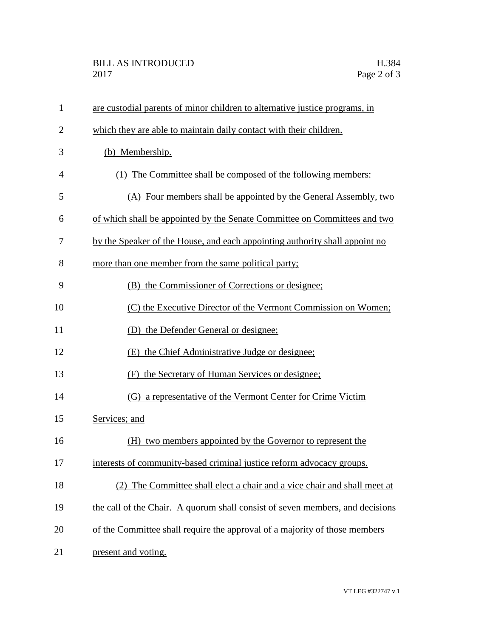## BILL AS INTRODUCED H.384 2017 Page 2 of 3

| $\mathbf{1}$   | are custodial parents of minor children to alternative justice programs, in   |
|----------------|-------------------------------------------------------------------------------|
| $\overline{2}$ | which they are able to maintain daily contact with their children.            |
| 3              | (b) Membership.                                                               |
| 4              | (1) The Committee shall be composed of the following members:                 |
| 5              | (A) Four members shall be appointed by the General Assembly, two              |
| 6              | of which shall be appointed by the Senate Committee on Committees and two     |
| 7              | by the Speaker of the House, and each appointing authority shall appoint no   |
| 8              | more than one member from the same political party;                           |
| 9              | (B) the Commissioner of Corrections or designee;                              |
| 10             | (C) the Executive Director of the Vermont Commission on Women;                |
| 11             | (D) the Defender General or designee;                                         |
| 12             | (E) the Chief Administrative Judge or designee;                               |
| 13             | (F) the Secretary of Human Services or designee;                              |
| 14             | (G) a representative of the Vermont Center for Crime Victim                   |
| 15             | Services; and                                                                 |
| 16             | (H) two members appointed by the Governor to represent the                    |
| 17             | interests of community-based criminal justice reform advocacy groups.         |
| 18             | The Committee shall elect a chair and a vice chair and shall meet at          |
| 19             | the call of the Chair. A quorum shall consist of seven members, and decisions |
| 20             | of the Committee shall require the approval of a majority of those members    |
| 21             | present and voting.                                                           |